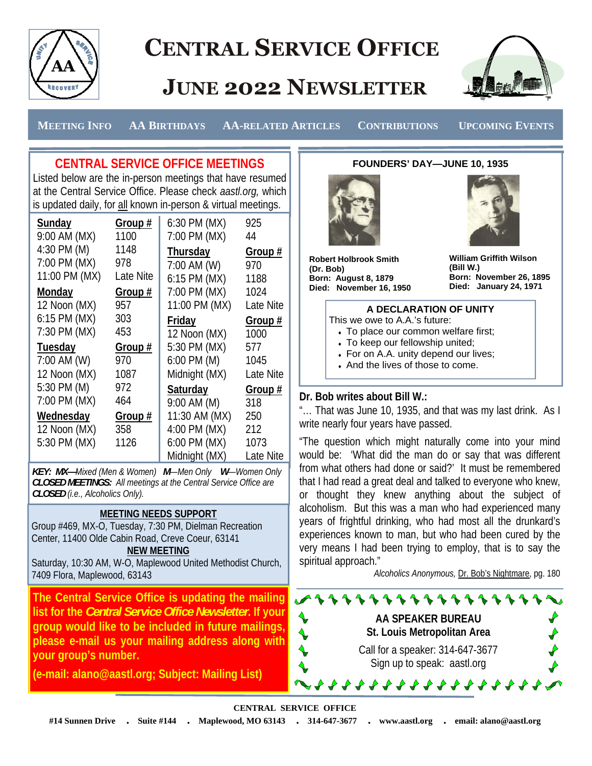

# **CENTRAL SERVICE OFFICE**

# **JUNE 2022 NEWSLETTER**



 **MEETING INFO AA BIRTHDAYS AA-RELATED ARTICLES CONTRIBUTIONS UPCOMING EVENTS** 

## **CENTRAL SERVICE OFFICE MEETINGS**

Listed below are the in-person meetings that have resumed at the Central Service Office. Please check *aastl.org,* which is updated daily, for all known in-person & virtual meetings.

| Sunday        | Group #   | 6:30 PM (MX)    | 925       |
|---------------|-----------|-----------------|-----------|
| 9:00 AM (MX)  | 1100      | 7:00 PM (MX)    | 44        |
| 4:30 PM (M)   | 1148      | Thursday        | Group #   |
| 7:00 PM (MX)  | 978       | 7:00 AM (W)     | 970       |
| 11:00 PM (MX) | Late Nite | 6:15 PM (MX)    | 1188      |
| Monday        | Group #   | 7:00 PM (MX)    | 1024      |
| 12 Noon (MX)  | 957       | 11:00 PM (MX)   | Late Nite |
| 6:15 PM (MX)  | 303       | <b>Friday</b>   | Group #   |
| 7:30 PM (MX)  | 453       | 12 Noon (MX)    | 1000      |
| Tuesday       | Group #   | 5:30 PM (MX)    | 577       |
| 7:00 AM (W)   | 970       | $6:00$ PM $(M)$ | 1045      |
| 12 Noon (MX)  | 1087      | Midnight (MX)   | Late Nite |
| 5:30 PM (M)   | 972       | <b>Saturday</b> | Group #   |
| 7:00 PM (MX)  | 464       | 9:00 AM (M)     | 318       |
| Wednesday     | Group #   | 11:30 AM (MX)   | 250       |
| 12 Noon (MX)  | 358       | 4:00 PM (MX)    | 212       |
| 5:30 PM (MX)  |           |                 |           |
|               | 1126      | 6:00 PM (MX)    | 1073      |

*KEY: MX—Mixed (Men & Women) M—Men Only W—Women Only CLOSED MEETINGS: All meetings at the Central Service Office are CLOSED (i.e., Alcoholics Only).* 

### **MEETING NEEDS SUPPORT**

Group #469, MX-O, Tuesday, 7:30 PM, Dielman Recreation Center, 11400 Olde Cabin Road, Creve Coeur, 63141 **NEW MEETING**

Saturday, 10:30 AM, W-O, Maplewood United Methodist Church,

7409 Flora, Maplewood, 63143

**The Central Service Office is updating the mailing list for the** *Central Service Office Newsletter***. If your group would like to be included in future mailings, please e-mail us your mailing address along with your group's number.** 

**(e-mail: alano@aastl.org; Subject: Mailing List)** 

**FOUNDERS' DAY—JUNE 10, 1935**



**Robert Holbrook Smith (Dr. Bob) Born: August 8, 1879 Died: November 16, 1950**  **William Griffith Wilson (Bill W.) Born: November 26, 1895 Died: January 24, 1971** 



#### **Dr. Bob writes about Bill W.:**

"… That was June 10, 1935, and that was my last drink. As I write nearly four years have passed.

"The question which might naturally come into your mind would be: 'What did the man do or say that was different from what others had done or said?' It must be remembered that I had read a great deal and talked to everyone who knew, or thought they knew anything about the subject of alcoholism. But this was a man who had experienced many years of frightful drinking, who had most all the drunkard's experiences known to man, but who had been cured by the very means I had been trying to employ, that is to say the spiritual approach."

*Alcoholics Anonymous,* Dr. Bob's Nightmare, pg. 180

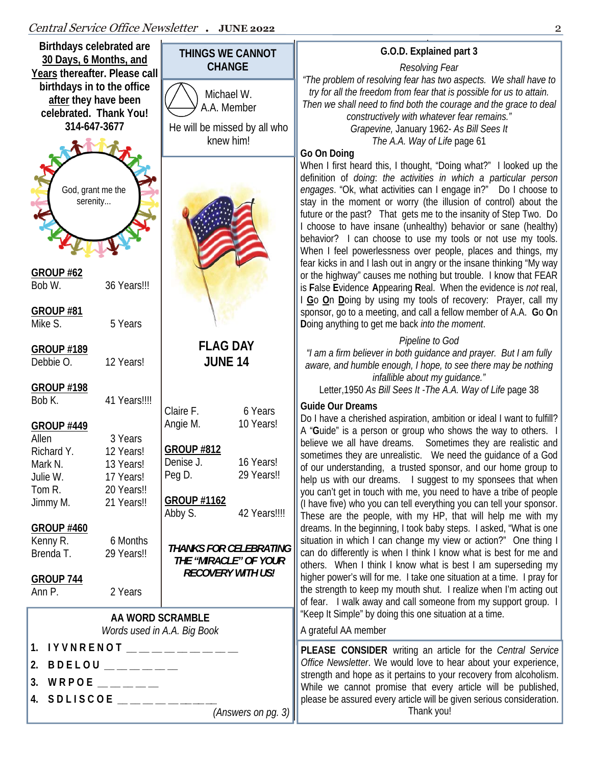